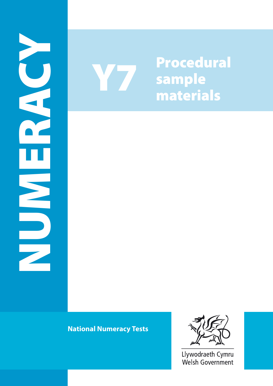



**National Numeracy Tests** 



Llywodraeth Cymru Welsh Government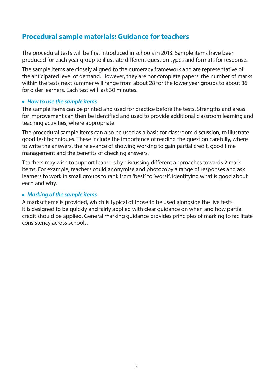# **Procedural sample materials: Guidance for teachers**

The procedural tests will be first introduced in schools in 2013. Sample items have been produced for each year group to illustrate different question types and formats for response.

The sample items are closely aligned to the numeracy framework and are representative of the anticipated level of demand. However, they are not complete papers: the number of marks within the tests next summer will range from about 28 for the lower year groups to about 36 for older learners. Each test will last 30 minutes.

#### ● *How to use the sample items*

The sample items can be printed and used for practice before the tests. Strengths and areas for improvement can then be identified and used to provide additional classroom learning and teaching activities, where appropriate.

The procedural sample items can also be used as a basis for classroom discussion, to illustrate good test techniques. These include the importance of reading the question carefully, where to write the answers, the relevance of showing working to gain partial credit, good time management and the benefits of checking answers.

Teachers may wish to support learners by discussing different approaches towards 2 mark items. For example, teachers could anonymise and photocopy a range of responses and ask learners to work in small groups to rank from 'best' to 'worst', identifying what is good about each and why.

#### ● *Marking of the sample items*

A markscheme is provided, which is typical of those to be used alongside the live tests. It is designed to be quickly and fairly applied with clear guidance on when and how partial credit should be applied. General marking guidance provides principles of marking to facilitate consistency across schools.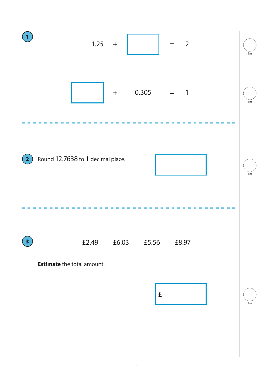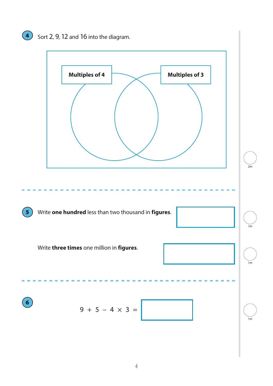# $\overline{4}$  Sort 2, 9, 12 and 16 into the diagram.

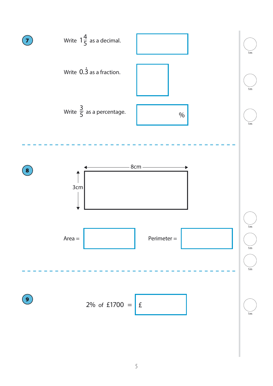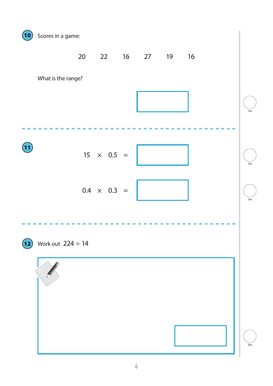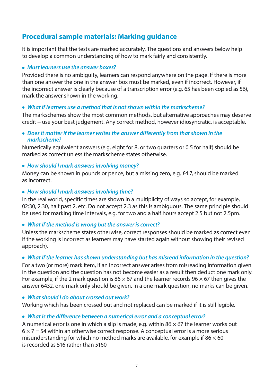# **Procedural sample materials: Marking guidance**

It is important that the tests are marked accurately. The questions and answers below help to develop a common understanding of how to mark fairly and consistently.

#### ● *Must learners use the answer boxes?*

Provided there is no ambiguity, learners can respond anywhere on the page. If there is more than one answer the one in the answer box must be marked, even if incorrect. However, if the incorrect answer is clearly because of a transcription error (e.g. 65 has been copied as 56), mark the answer shown in the working.

### ● *What if learners use a method that is not shown within the markscheme?*

The markschemes show the most common methods, but alternative approaches may deserve credit − use your best judgement. Any correct method, however idiosyncratic, is acceptable.

#### ● *Does it matter if the learner writes the answer differently from that shown in the markscheme?*

Numerically equivalent answers (e.g. eight for 8, or two quarters or 0.5 for half) should be marked as correct unless the markscheme states otherwise.

#### ● *How should I mark answers involving money?*

Money can be shown in pounds or pence, but a missing zero, e.g. £4.7, should be marked as incorrect.

#### ● *How should I mark answers involving time?*

In the real world, specific times are shown in a multiplicity of ways so accept, for example, 02:30, 2.30, half past 2, etc. Do not accept 2.3 as this is ambiguous. The same principle should be used for marking time intervals, e.g. for two and a half hours accept 2.5 but not 2.5pm.

## ● *What if the method is wrong but the answer is correct?*

Unless the markscheme states otherwise, correct responses should be marked as correct even if the working is incorrect as learners may have started again without showing their revised approach).

## ● *What if the learner has shown understanding but has misread information in the question?*

For a two (or more) mark item, if an incorrect answer arises from misreading information given in the question and the question has not become easier as a result then deduct one mark only. For example, if the 2 mark question is 86  $\times$  67 and the learner records 96  $\times$  67 then gives the answer 6432, one mark only should be given. In a one mark question, no marks can be given.

#### ● *What should I do about crossed out work?*

Working which has been crossed out and not replaced can be marked if it is still legible.

## ● *What is the difference between a numerical error and a conceptual error?*

A numerical error is one in which a slip is made, e.g. within 86  $\times$  67 the learner works out  $6 \times 7 = 54$  within an otherwise correct response. A conceptual error is a more serious misunderstanding for which no method marks are available, for example if  $86 \times 60$ is recorded as 516 rather than 5160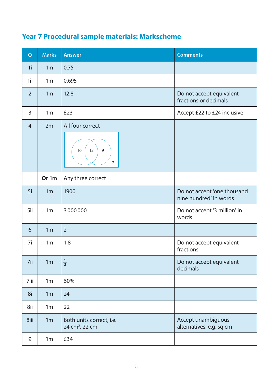| Q              | <b>Marks</b>   | <b>Answer</b>                                          | <b>Comments</b>                                       |
|----------------|----------------|--------------------------------------------------------|-------------------------------------------------------|
| 1 <sub>i</sub> | 1 <sub>m</sub> | 0.75                                                   |                                                       |
| 1ii            | 1 <sub>m</sub> | 0.695                                                  |                                                       |
| $\overline{2}$ | 1 <sub>m</sub> | 12.8                                                   | Do not accept equivalent<br>fractions or decimals     |
| 3              | 1 <sub>m</sub> | £23                                                    | Accept £22 to £24 inclusive                           |
| $\overline{4}$ | 2m             | All four correct<br>12<br>16<br>9<br>$\overline{2}$    |                                                       |
|                | Or 1m          | Any three correct                                      |                                                       |
| 5i             | 1 <sub>m</sub> | 1900                                                   | Do not accept 'one thousand<br>nine hundred' in words |
| 5ii            | 1 <sub>m</sub> | 3000000                                                | Do not accept '3 million' in<br>words                 |
| 6              | 1 <sub>m</sub> | $\overline{2}$                                         |                                                       |
| 7i             | 1 <sub>m</sub> | 1.8                                                    | Do not accept equivalent<br>fractions                 |
| 7ii            | 1 <sub>m</sub> | $\frac{1}{3}$                                          | Do not accept equivalent<br>decimals                  |
| 7iii           | 1 <sub>m</sub> | 60%                                                    |                                                       |
| 8i             | 1 <sub>m</sub> | 24                                                     |                                                       |
| 8ii            | 1 <sub>m</sub> | 22                                                     |                                                       |
| 8iii           | 1 <sub>m</sub> | Both units correct, i.e.<br>24 cm <sup>2</sup> , 22 cm | Accept unambiguous<br>alternatives, e.g. sq cm        |
| 9              | 1 <sub>m</sub> | £34                                                    |                                                       |

# **Year 7 Procedural sample materials: Markscheme**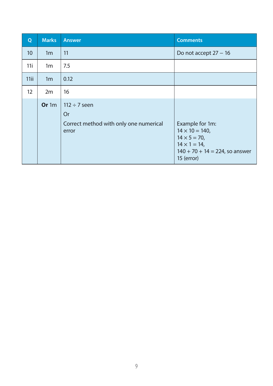| Q               | <b>Marks</b>   | <b>Answer</b>                                                              | <b>Comments</b>                                                                                                                              |
|-----------------|----------------|----------------------------------------------------------------------------|----------------------------------------------------------------------------------------------------------------------------------------------|
| 10              | 1 <sub>m</sub> | 11                                                                         | Do not accept $27 - 16$                                                                                                                      |
| 11i             | 1 <sub>m</sub> | 7.5                                                                        |                                                                                                                                              |
| 11ii            | 1 <sub>m</sub> | 0.12                                                                       |                                                                                                                                              |
| 12 <sup>2</sup> | 2m             | 16                                                                         |                                                                                                                                              |
|                 | Or 1m          | $112 \div 7$ seen<br>Or<br>Correct method with only one numerical<br>error | Example for 1m:<br>$14 \times 10 = 140$ ,<br>$14 \times 5 = 70$ ,<br>$14 \times 1 = 14$ ,<br>$140 + 70 + 14 = 224$ , so answer<br>15 (error) |